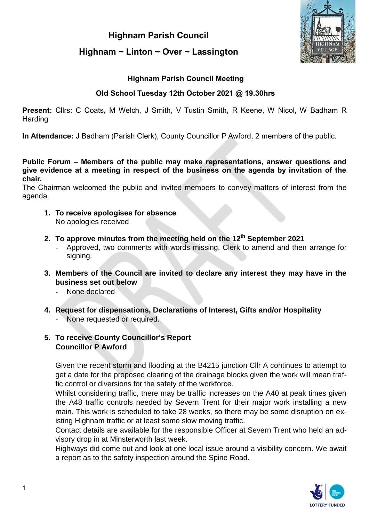# **Highnam Parish Council Highnam ~ Linton ~ Over ~ Lassington**



# **Highnam Parish Council Meeting**

# **Old School Tuesday 12th October 2021 @ 19.30hrs**

**Present:** Cllrs: C Coats, M Welch, J Smith, V Tustin Smith, R Keene, W Nicol, W Badham R **Harding** 

**In Attendance:** J Badham (Parish Clerk), County Councillor P Awford, 2 members of the public.

#### **Public Forum – Members of the public may make representations, answer questions and give evidence at a meeting in respect of the business on the agenda by invitation of the chair.**

The Chairman welcomed the public and invited members to convey matters of interest from the agenda.

- **1. To receive apologises for absence**  No apologies received
- **2. To approve minutes from the meeting held on the 12th September 2021**
	- Approved, two comments with words missing, Clerk to amend and then arrange for signing.
- **3. Members of the Council are invited to declare any interest they may have in the business set out below**
	- None declared
- **4. Request for dispensations, Declarations of Interest, Gifts and/or Hospitality** None requested or required.

# **5. To receive County Councillor's Report Councillor P Awford**

Given the recent storm and flooding at the B4215 junction Cllr A continues to attempt to get a date for the proposed clearing of the drainage blocks given the work will mean traffic control or diversions for the safety of the workforce.

Whilst considering traffic, there may be traffic increases on the A40 at peak times given the A48 traffic controls needed by Severn Trent for their major work installing a new main. This work is scheduled to take 28 weeks, so there may be some disruption on existing Highnam traffic or at least some slow moving traffic.

Contact details are available for the responsible Officer at Severn Trent who held an advisory drop in at Minsterworth last week.

Highways did come out and look at one local issue around a visibility concern. We await a report as to the safety inspection around the Spine Road.

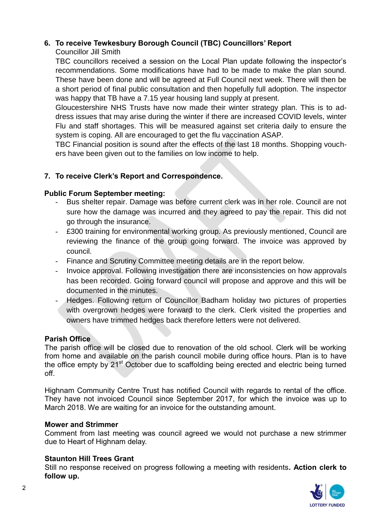# **6. To receive Tewkesbury Borough Council (TBC) Councillors' Report**

# Councillor Jill Smith

TBC councillors received a session on the Local Plan update following the inspector's recommendations. Some modifications have had to be made to make the plan sound. These have been done and will be agreed at Full Council next week. There will then be a short period of final public consultation and then hopefully full adoption. The inspector was happy that TB have a 7.15 year housing land supply at present.

Gloucestershire NHS Trusts have now made their winter strategy plan. This is to address issues that may arise during the winter if there are increased COVID levels, winter Flu and staff shortages. This will be measured against set criteria daily to ensure the system is coping. All are encouraged to get the flu vaccination ASAP.

TBC Financial position is sound after the effects of the last 18 months. Shopping vouchers have been given out to the families on low income to help.

# **7. To receive Clerk's Report and Correspondence.**

# **Public Forum September meeting:**

- Bus shelter repair. Damage was before current clerk was in her role. Council are not sure how the damage was incurred and they agreed to pay the repair. This did not go through the insurance.
- £300 training for environmental working group. As previously mentioned, Council are reviewing the finance of the group going forward. The invoice was approved by council.
- Finance and Scrutiny Committee meeting details are in the report below.
- Invoice approval. Following investigation there are inconsistencies on how approvals has been recorded. Going forward council will propose and approve and this will be documented in the minutes.
- Hedges. Following return of Councillor Badham holiday two pictures of properties with overgrown hedges were forward to the clerk. Clerk visited the properties and owners have trimmed hedges back therefore letters were not delivered.

# **Parish Office**

The parish office will be closed due to renovation of the old school. Clerk will be working from home and available on the parish council mobile during office hours. Plan is to have the office empty by 21<sup>st</sup> October due to scaffolding being erected and electric being turned off.

Highnam Community Centre Trust has notified Council with regards to rental of the office. They have not invoiced Council since September 2017, for which the invoice was up to March 2018. We are waiting for an invoice for the outstanding amount.

# **Mower and Strimmer**

Comment from last meeting was council agreed we would not purchase a new strimmer due to Heart of Highnam delay.

# **Staunton Hill Trees Grant**

Still no response received on progress following a meeting with residents**. Action clerk to follow up.** 

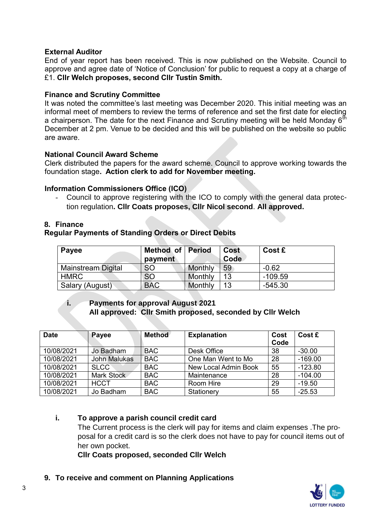### **External Auditor**

End of year report has been received. This is now published on the Website. Council to approve and agree date of 'Notice of Conclusion' for public to request a copy at a charge of £1. **Cllr Welch proposes, second Cllr Tustin Smith.** 

#### **Finance and Scrutiny Committee**

It was noted the committee's last meeting was December 2020. This initial meeting was an informal meet of members to review the terms of reference and set the first date for electing a chairperson. The date for the next Finance and Scrutiny meeting will be held Monday  $6<sup>th</sup>$ December at 2 pm. Venue to be decided and this will be published on the website so public are aware.

#### **National Council Award Scheme**

Clerk distributed the papers for the award scheme. Council to approve working towards the foundation stage**. Action clerk to add for November meeting.** 

#### **Information Commissioners Office (ICO)**

Council to approve registering with the ICO to comply with the general data protection regulation**. Cllr Coats proposes, Cllr Nicol second**. **All approved.**

#### **8. Finance**

#### **Regular Payments of Standing Orders or Direct Debits**

| <b>Payee</b>       | <b>Method of Period</b><br>payment |         | Cost<br><b>Code</b> | Cost £    |
|--------------------|------------------------------------|---------|---------------------|-----------|
| Mainstream Digital | <b>SO</b>                          | Monthly | 59                  | $-0.62$   |
| <b>HMRC</b>        | <b>SO</b>                          | Monthly | 13                  | $-109.59$ |
| Salary (August)    | <b>BAC</b>                         | Monthly | 13                  | $-545.30$ |

### **i. Payments for approval August 2021 All approved: Cllr Smith proposed, seconded by Cllr Welch**

| <b>Date</b> | Payee        | <b>Method</b> | <b>Explanation</b>   | Cost<br>Code | Cost £    |
|-------------|--------------|---------------|----------------------|--------------|-----------|
| 10/08/2021  | Jo Badham    | <b>BAC</b>    | Desk Office          | 38           | $-30.00$  |
| 10/08/2021  | John Malukas | <b>BAC</b>    | One Man Went to Mo   | 28           | $-169.00$ |
| 10/08/2021  | <b>SLCC</b>  | <b>BAC</b>    | New Local Admin Book | 55           | $-123.80$ |
| 10/08/2021  | Mark Stock   | <b>BAC</b>    | Maintenance          | 28           | $-104.00$ |
| 10/08/2021  | <b>HCCT</b>  | <b>BAC</b>    | Room Hire            | 29           | $-19.50$  |
| 10/08/2021  | Jo Badham    | <b>BAC</b>    | Stationery           | 55           | $-25.53$  |

#### **i. To approve a parish council credit card**

The Current process is the clerk will pay for items and claim expenses .The proposal for a credit card is so the clerk does not have to pay for council items out of her own pocket.

**Cllr Coats proposed, seconded Cllr Welch** 

**9. To receive and comment on Planning Applications** 

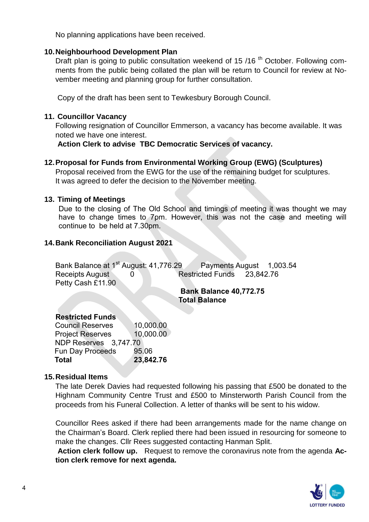No planning applications have been received.

### **10.Neighbourhood Development Plan**

Draft plan is going to public consultation weekend of 15 /16<sup>th</sup> October. Following comments from the public being collated the plan will be return to Council for review at November meeting and planning group for further consultation.

Copy of the draft has been sent to Tewkesbury Borough Council.

### **11. Councillor Vacancy**

Following resignation of Councillor Emmerson, a vacancy has become available. It was noted we have one interest.

**Action Clerk to advise TBC Democratic Services of vacancy.**

# **12.Proposal for Funds from Environmental Working Group (EWG) (Sculptures)**

Proposal received from the EWG for the use of the remaining budget for sculptures. It was agreed to defer the decision to the November meeting.

#### **13. Timing of Meetings**

Due to the closing of The Old School and timings of meeting it was thought we may have to change times to 7pm. However, this was not the case and meeting will continue to be held at 7.30pm.

### **14.Bank Reconciliation August 2021**

| Bank Balance at 1 <sup>st</sup> August: 41,776.29 |  | Payments August 1,003.54   |  |
|---------------------------------------------------|--|----------------------------|--|
| Receipts August                                   |  | Restricted Funds 23,842.76 |  |
| Petty Cash £11.90                                 |  |                            |  |

### **Bank Balance 40,772.75 Total Balance**

#### **Restricted Funds**

 Council Reserves 10,000.00 Project Reserves 10,000.00 NDP Reserves 3,747.70 Fun Day Proceeds 95.06  **Total 23,842.76**

#### **15.Residual Items**

The late Derek Davies had requested following his passing that £500 be donated to the Highnam Community Centre Trust and £500 to Minsterworth Parish Council from the proceeds from his Funeral Collection. A letter of thanks will be sent to his widow.

Councillor Rees asked if there had been arrangements made for the name change on the Chairman's Board. Clerk replied there had been issued in resourcing for someone to make the changes. Cllr Rees suggested contacting Hanman Split.

**Action clerk follow up.** Request to remove the coronavirus note from the agenda **Action clerk remove for next agenda.** 

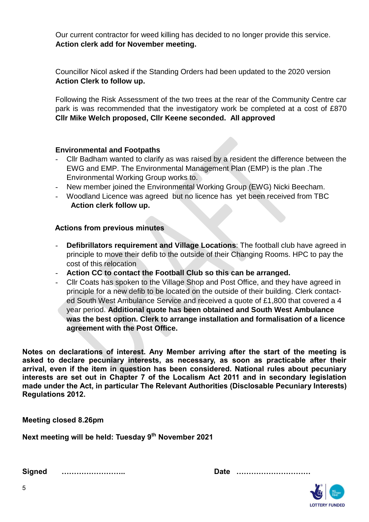Our current contractor for weed killing has decided to no longer provide this service. **Action clerk add for November meeting.** 

Councillor Nicol asked if the Standing Orders had been updated to the 2020 version **Action Clerk to follow up.**

Following the Risk Assessment of the two trees at the rear of the Community Centre car park is was recommended that the investigatory work be completed at a cost of £870 **Cllr Mike Welch proposed, Cllr Keene seconded. All approved**

### **Environmental and Footpaths**

- Cllr Badham wanted to clarify as was raised by a resident the difference between the EWG and EMP. The Environmental Management Plan (EMP) is the plan .The Environmental Working Group works to.
- New member joined the Environmental Working Group (EWG) Nicki Beecham.
- Woodland Licence was agreed but no licence has yet been received from TBC  **Action clerk follow up.**

# **Actions from previous minutes**

- **Defibrillators requirement and Village Locations:** The football club have agreed in principle to move their defib to the outside of their Changing Rooms. HPC to pay the cost of this relocation
- **Action CC to contact the Football Club so this can be arranged.**
- Cllr Coats has spoken to the Village Shop and Post Office, and they have agreed in principle for a new defib to be located on the outside of their building. Clerk contacted South West Ambulance Service and received a quote of £1,800 that covered a 4 year period. **Additional quote has been obtained and South West Ambulance was the best option. Clerk to arrange installation and formalisation of a licence agreement with the Post Office.**

**Notes on declarations of interest. Any Member arriving after the start of the meeting is asked to declare pecuniary interests, as necessary, as soon as practicable after their arrival, even if the item in question has been considered. National rules about pecuniary interests are set out in Chapter 7 of the Localism Act 2011 and in secondary legislation made under the Act, in particular The Relevant Authorities (Disclosable Pecuniary Interests) Regulations 2012.**

**Meeting closed 8.26pm**

**Next meeting will be held: Tuesday 9 th November 2021** 

**Signed …………………….. Date …………………………**